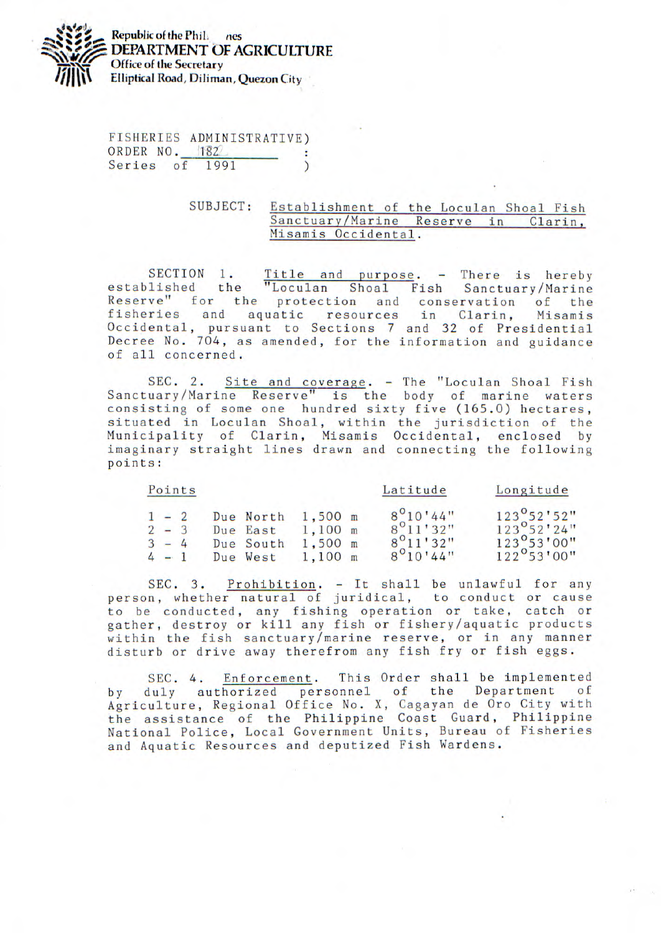

FISHERIES ADMINISTRATIVE) ORDER NO. 182 Series of 1991  $\lambda$ 

## SUBJECT: Establishment of the Loculan Shoal Fish Sanctuary/Marine Reserve in Clarin, Misamis Occidental.

SECTION 1. Title and purpose. - There is hereby established the "Loculan Shoal Fish Sanctuary/Marine Reserve" for the protection and conservation of the fisheries and aquatic resources in Clarin, Misamis Occidental, pursuant to Sections 7 and 32 of Presidential Decree No. 704, as amended, for the information and guidance of all concerned.

SEC. 2. Site and coverage. - The "Loculan Shoal Fish Sanctuary/Marine Reserve" is the body of marine waters consisting of some one hundred sixty five (165.0) hectares, situated in Loculan Shoal, within the jurisdiction of the Municipality of Clarin, Misamis Occidental, enclosed by imaginary straight lines drawn and connecting the following points:

|         | Points |           |           | Latitude           | Longitude            |
|---------|--------|-----------|-----------|--------------------|----------------------|
| $1 - 2$ |        | Due North | $1,500$ m | $8^{\circ}10'44"$  | $123^{\circ}52'52"$  |
| $2 - 3$ |        | Due East  | $1.100$ m | $8^{\circ}11'32"$  | $123^{\circ}52'24"$  |
| $3 - 4$ |        | Due South | $1,500$ m | $8^{\circ}11'32''$ | $123^{\circ}53'00''$ |
| $4 - 1$ |        | Due West  | 1,100 m   | $8^{\circ}10'44"$  | $122^{\circ}53'00''$ |

SEC. 3. Prohibition. - It shall be unlawful for any person, whether natural of juridical, to conduct or cause to be conducted, any fishing operation or take, catch or gather, destroy or kill any fish or fishery/aquatic products within the fish sanctuary/marine reserve, or in any manner disturb or drive away therefrom any fish fry or fish eggs.

SEC. 4. Enforcement. This Order shall be implemented by duly authorized personnel of the Department of Agriculture, Regional Office No. X, Cagayan de Oro City with the assistance of the Philippine Coast Guard, Philippine National Police, Local Government Units, Bureau of Fisheries and Aquatic Resources and deputized Fish Wardens.